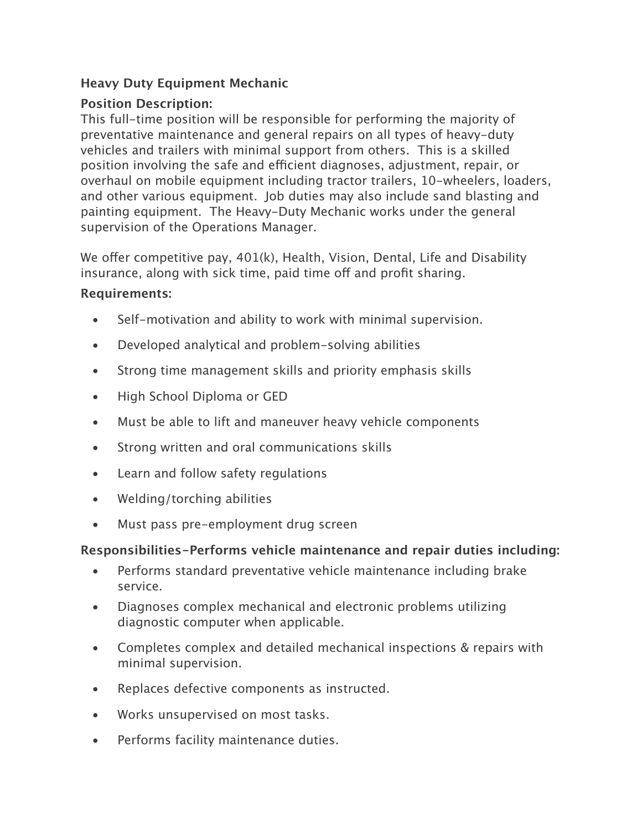## **Heavy Duty Equipment Mechanic**

## **Position Description:**

This full-time position will be responsible for performing the majority of preventative maintenance and general repairs on all types of heavy-duty vehicles and trailers with minimal support from others. This is a skilled position involving the safe and efficient diagnoses, adjustment, repair, or overhaul on mobile equipment including tractor trailers, 10-wheelers, loaders, and other various equipment. Job duties may also include sand blasting and painting equipment. The Heavy-Duty Mechanic works under the general supervision of the Operations Manager.

We offer competitive pay, 401(k), Health, Vision, Dental, Life and Disability insurance, along with sick time, paid time off and profit sharing.

## **Requirements:**

- Self-motivation and ability to work with minimal supervision.
- Developed analytical and problem-solving abilities
- Strong time management skills and priority emphasis skills
- High School Diploma or GED
- Must be able to lift and maneuver heavy vehicle components
- Strong written and oral communications skills
- Learn and follow safety regulations
- Welding/torching abilities
- Must pass pre-employment drug screen

## **Responsibilities-Performs vehicle maintenance and repair duties including:**

- Performs standard preventative vehicle maintenance including brake service.
- Diagnoses complex mechanical and electronic problems utilizing diagnostic computer when applicable.
- Completes complex and detailed mechanical inspections & repairs with minimal supervision.
- Replaces defective components as instructed.
- Works unsupervised on most tasks.
- Performs facility maintenance duties.